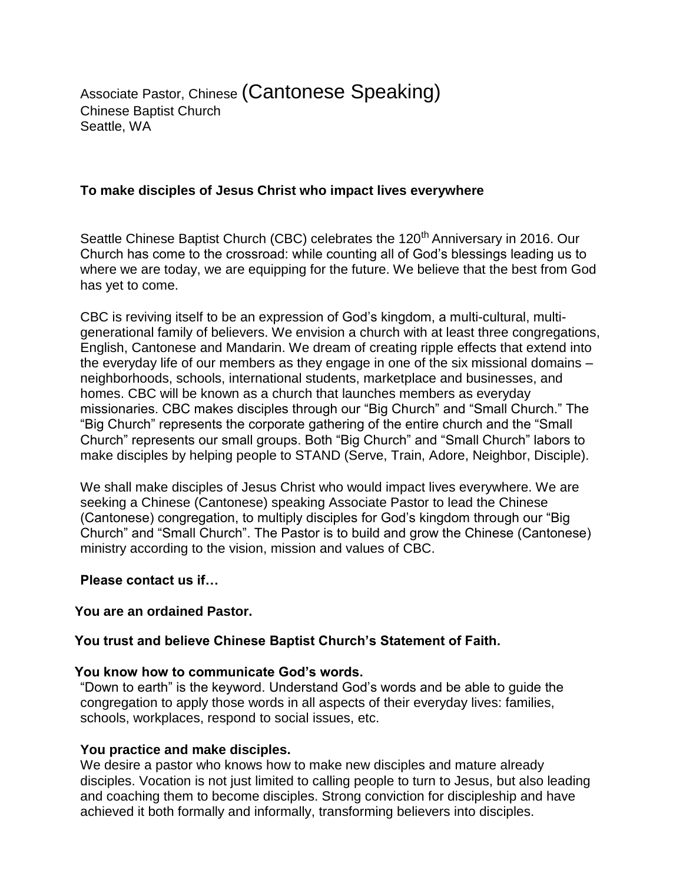Associate Pastor, Chinese (Cantonese Speaking) Chinese Baptist Church Seattle, WA

## **To make disciples of Jesus Christ who impact lives everywhere**

Seattle Chinese Baptist Church (CBC) celebrates the 120<sup>th</sup> Anniversary in 2016. Our Church has come to the crossroad: while counting all of God's blessings leading us to where we are today, we are equipping for the future. We believe that the best from God has yet to come.

CBC is reviving itself to be an expression of God's kingdom, a multi-cultural, multigenerational family of believers. We envision a church with at least three congregations, English, Cantonese and Mandarin. We dream of creating ripple effects that extend into the everyday life of our members as they engage in one of the six missional domains – neighborhoods, schools, international students, marketplace and businesses, and homes. CBC will be known as a church that launches members as everyday missionaries. CBC makes disciples through our "Big Church" and "Small Church." The "Big Church" represents the corporate gathering of the entire church and the "Small Church" represents our small groups. Both "Big Church" and "Small Church" labors to make disciples by helping people to STAND (Serve, Train, Adore, Neighbor, Disciple).

We shall make disciples of Jesus Christ who would impact lives everywhere. We are seeking a Chinese (Cantonese) speaking Associate Pastor to lead the Chinese (Cantonese) congregation, to multiply disciples for God's kingdom through our "Big Church" and "Small Church". The Pastor is to build and grow the Chinese (Cantonese) ministry according to the vision, mission and values of CBC.

### **Please contact us if…**

### **You are an ordained Pastor.**

# **You trust and believe Chinese Baptist Church's Statement of Faith.**

### **You know how to communicate God's words.**

"Down to earth" is the keyword. Understand God's words and be able to guide the congregation to apply those words in all aspects of their everyday lives: families, schools, workplaces, respond to social issues, etc.

### **You practice and make disciples.**

We desire a pastor who knows how to make new disciples and mature already disciples. Vocation is not just limited to calling people to turn to Jesus, but also leading and coaching them to become disciples. Strong conviction for discipleship and have achieved it both formally and informally, transforming believers into disciples.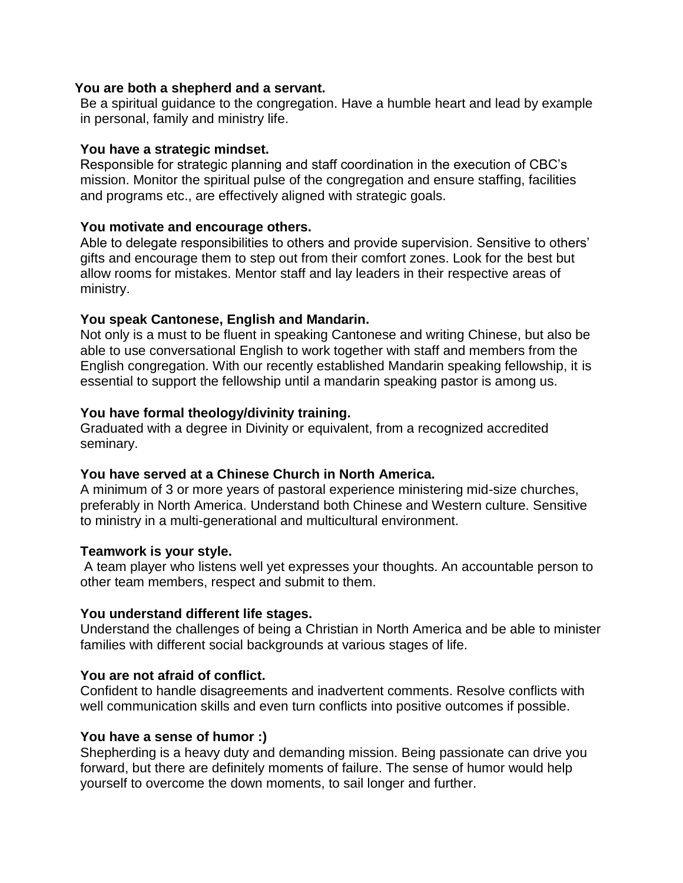## **You are both a shepherd and a servant.**

Be a spiritual guidance to the congregation. Have a humble heart and lead by example in personal, family and ministry life.

# **You have a strategic mindset.**

Responsible for strategic planning and staff coordination in the execution of CBC's mission. Monitor the spiritual pulse of the congregation and ensure staffing, facilities and programs etc., are effectively aligned with strategic goals.

## **You motivate and encourage others.**

Able to delegate responsibilities to others and provide supervision. Sensitive to others' gifts and encourage them to step out from their comfort zones. Look for the best but allow rooms for mistakes. Mentor staff and lay leaders in their respective areas of ministry.

# **You speak Cantonese, English and Mandarin.**

Not only is a must to be fluent in speaking Cantonese and writing Chinese, but also be able to use conversational English to work together with staff and members from the English congregation. With our recently established Mandarin speaking fellowship, it is essential to support the fellowship until a mandarin speaking pastor is among us.

# **You have formal theology/divinity training.**

Graduated with a degree in Divinity or equivalent, from a recognized accredited seminary.

# **You have served at a Chinese Church in North America.**

A minimum of 3 or more years of pastoral experience ministering mid-size churches, preferably in North America. Understand both Chinese and Western culture. Sensitive to ministry in a multi-generational and multicultural environment.

### **Teamwork is your style.**

A team player who listens well yet expresses your thoughts. An accountable person to other team members, respect and submit to them.

### **You understand different life stages.**

Understand the challenges of being a Christian in North America and be able to minister families with different social backgrounds at various stages of life.

### **You are not afraid of conflict.**

Confident to handle disagreements and inadvertent comments. Resolve conflicts with well communication skills and even turn conflicts into positive outcomes if possible.

### **You have a sense of humor :)**

Shepherding is a heavy duty and demanding mission. Being passionate can drive you forward, but there are definitely moments of failure. The sense of humor would help yourself to overcome the down moments, to sail longer and further.